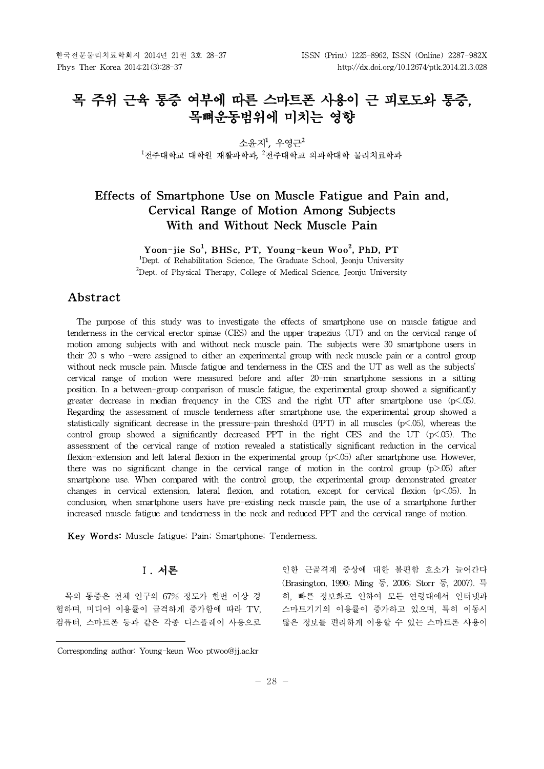# **목 주위 근육 통증 여부에 따른 스마트폰 사용이 근 피로도와 통증, 목뼈운동범위에 미치는 영향**

소윤지<sup>1</sup>, 우영근<sup>2</sup>  $1$ 저주대학교 대학원 재활과학과,  $2$ 저주대학교 의과학대학 물리치료학과

# **Effects of Smartphone Use on Muscle Fatigue and Pain and, Cervical Range of Motion Among Subjects With and Without Neck Muscle Pain**

Yoon-jie So<sup>1</sup>, BHSc, PT, Young-keun Woo<sup>2</sup>, PhD, PT

<sup>1</sup>Dept. of Rehabilitation Science, The Graduate School, Jeonju University  $2$ Dept. of Physical Therapy, College of Medical Science, Jeoniu University

# **Abstract1)**

The purpose of this study was to investigate the effects of smartphone use on muscle fatigue and tenderness in the cervical erector spinae (CES) and the upper trapezius (UT) and on the cervical range of motion among subjects with and without neck muscle pain. The subjects were 30 smartphone users in their 20 s who -were assigned to either an experimental group with neck muscle pain or a control group without neck muscle pain. Muscle fatigue and tenderness in the CES and the UT as well as the subjects' cervical range of motion were measured before and after 20-min smartphone sessions in a sitting position. In a between-group comparison of muscle fatigue, the experimental group showed a significantly greater decrease in median frequency in the CES and the right UT after smartphone use  $(p<.05)$ . Regarding the assessment of muscle tenderness after smartphone use, the experimental group showed a statistically significant decrease in the pressure-pain threshold (PPT) in all muscles ( $p$ <.05), whereas the control group showed a significantly decreased PPT in the right CES and the UT ( $p\leq 0.05$ ). The assessment of the cervical range of motion revealed a statistically significant reduction in the cervical flexion-extension and left lateral flexion in the experimental group (p<.05) after smartphone use. However, there was no significant change in the cervical range of motion in the control group  $(p>0.05)$  after smartphone use. When compared with the control group, the experimental group demonstrated greater changes in cervical extension, lateral flexion, and rotation, except for cervical flexion  $(p<.05)$ . In conclusion, when smartphone users have pre-existing neck muscle pain, the use of a smartphone further increased muscle fatigue and tenderness in the neck and reduced PPT and the cervical range of motion.

**Key Words:** Muscle fatigue; Pain; Smartphone; Tenderness.

# **Ⅰ. 서론**

목의 통증은 전체 인구의 67% 정도가 한번 이상 경 험하며, 미디어 이용률이 급격하게 증가함에 따라 TV, 컴퓨터, 스마트폰 등과 같은 각종 디스플레이 사용으로

인한 근골격계 증상에 대한 불편함 호소가 늘어간다 (Brasington, 1990; Ming 등, 2006; Storr 등, 2007). 특 히, 빠른 정보화로 인하여 모든 연령대에서 인터넷과 스마트기기의 이용률이 증가하고 있으며, 특히 이동시 많은 정보를 편리하게 이용할 수 있는 스마트폰 사용이

Corresponding author: Young-keun Woo ptwoo@jj.ac.kr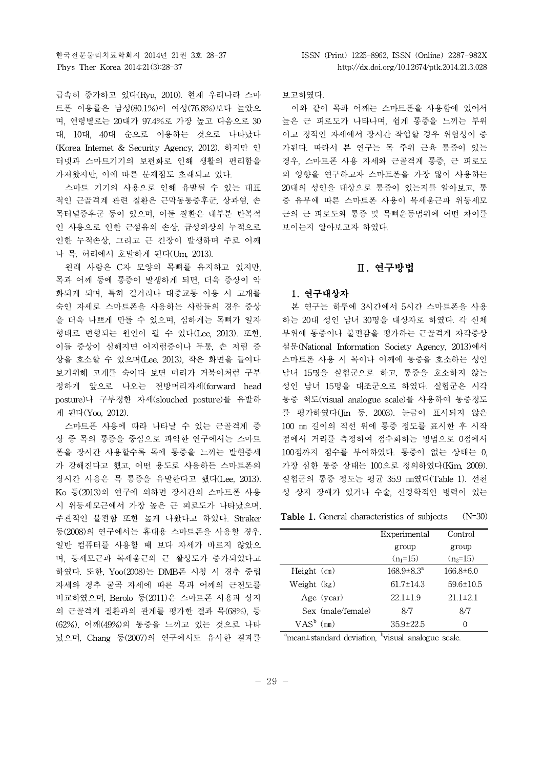급속히 증가하고 있다(Ryu, 2010). 현재 우리나라 스마 트폰 이용률은 남성(80.1%)이 여성(76.8%)보다 높았으 며, 연령별로는 20대가 97.4%로 가장 높고 다음으로 30 대, 10대, 40대 순으로 이용하는 것으로 나타났다 (Korea Internet & Security Agency, 2012). 하지만 인 터넷과 스마트기기의 보편화로 인해 생활의 편리함을 가져왔지만, 이에 따른 문제점도 초래되고 있다.

스마트 기기의 사용으로 인해 유발될 수 있는 대표 적인 근골격계 관련 질환은 근막동통증후군, 상과염, 손 목터널증후군 등이 있으며, 이들 질환은 대부분 반복적 인 사용으로 인한 근섬유의 손상, 급성외상의 누적으로 인한 누적손상, 그리고 근 긴장이 발생하며 주로 어깨 나 목, 허리에서 호발하게 된다(Um, 2013).

원래 사람은 C자 모양의 목뼈를 유지하고 있지만, 목과 어깨 등에 통증이 발생하게 되면, 더욱 증상이 악 화되게 되며, 특히 길거리나 대중교통 이용 시 고개를 숙인 자세로 스마트폰을 사용하는 사람들의 경우 증상 을 더욱 나쁘게 만들 수 있으며, 심하게는 목뼈가 일자 형태로 변형되는 원인이 될 수 있다(Lee, 2013). 또한, 이들 증상이 심해지면 어지럼증이나 두통, 손 저림 증 상을 호소할 수 있으며(Lee, 2013), 작은 화면을 들여다 보기위해 고개를 숙이다 보면 머리가 거북이처럼 구부 정하게 앞으로 나오는 전방머리자세(forward head posture)나 구부정한 자세(slouched posture)를 유발하 게 된다(Yoo, 2012).

스마트폰 사용에 따라 나타날 수 있는 근골격계 증 상 중 목의 통증을 중심으로 파악한 연구에서는 스마트 폰을 장시간 사용할수록 목에 통증을 느끼는 발현증세 가 강해진다고 했고, 어떤 용도로 사용하든 스마트폰의 장시간 사용은 목 통증을 유발한다고 했다(Lee, 2013). Ko 등(2013)의 연구에 의하면 장시간의 스마트폰 사용 시 위등세모근에서 가장 높은 근 피로도가 나타났으며, 주관적인 불편함 또한 높게 나왔다고 하였다. Straker 등(2008)의 연구에서는 휴대용 스마트폰을 사용할 경우, 일반 컴퓨터를 사용할 때 보다 자세가 바르지 않았으 며, 등세모근과 목세움근의 근 활성도가 증가되었다고 하였다. 또한, Yoo(2008)는 DMB폰 시청 시 경추 중립 자세와 경추 굴곡 자세에 따른 목과 어깨의 근전도를 비교하였으며, Berolo 등(2011)은 스마트폰 사용과 상지 의 근골격계 질환과의 관계를 평가한 결과 목(68%), 등 (62%), 어깨(49%)의 통증을 느끼고 있는 것으로 나타 났으며, Chang 등(2007)의 연구에서도 유사한 결과를

보고하였다.

이와 같이 목과 어깨는 스마트폰을 사용함에 있어서 높은 근 피로도가 나타나며, 쉽게 통증을 느끼는 부위 이고 정적인 자세에서 장시간 작업할 경우 위험성이 증 가된다. 따라서 본 연구는 목 주위 근육 통증이 있는 경우, 스마트폰 사용 자세와 근골격계 통증, 근 피로도 의 영향을 연구하고자 스마트폰을 가장 많이 사용하는 20대의 성인을 대상으로 통증이 있는지를 알아보고, 통 증 유무에 따른 스마트폰 사용이 목세움근과 위등세모 근의 근 피로도와 통증 및 목뼈운동범위에 어떤 차이를 보이는지 알아보고자 하였다.

# **Ⅱ. 연구방법**

# **1. 연구대상자**

본 연구는 하루에 3시간에서 5시간 스마트폰을 사용 하는 20대 성인 남녀 30명을 대상자로 하였다. 각 신체 부위에 통증이나 불편감을 평가하는 근골격계 자각증상 설문(National Information Society Agency, 2013)에서 스마트폰 사용 시 목이나 어깨에 통증을 호소하는 성인 남녀 15명을 실험군으로 하고, 통증을 호소하지 않는 성인 남녀 15명을 대조군으로 하였다. 실험군은 시각 통증 척도(visual analogue scale)를 사용하여 통증정도 를 평가하였다(Jin 등, 2003). 눈금이 표시되지 않은 100 ㎜ 길이의 직선 위에 통증 정도를 표시한 후 시작 점에서 거리를 측정하여 점수화하는 방법으로 0점에서 100점까지 점수를 부여하였다. 통증이 없는 상태는 0, 가장 심한 통증 상태는 100으로 정의하였다(Kim, 2009). 실험군의 통증 정도는 평균 35.9 ㎜였다(Table 1). 선천 성 상지 장애가 있거나 수술, 신경학적인 병력이 있는

**Table 1.** General characteristics of subjects (N=30)

|               |                   | Experimental            | Control        |
|---------------|-------------------|-------------------------|----------------|
|               |                   | group                   | group          |
|               |                   | $(n_1=15)$              | $(n_2=15)$     |
| $Height$ (cm) |                   | $168.9 \pm 8.3^{\circ}$ | $166.8\pm 6.0$ |
| Weight (kg)   |                   | $61.7 \pm 14.3$         | 59.6±10.5      |
|               | Age (year)        | $22.1 \pm 1.9$          | $21.1 \pm 2.1$ |
|               | Sex (male/female) | 8/7                     | 8/7            |
| $VAS^b$ (mm)  |                   | $35.9 \pm 22.5$         | ( )            |

 $a<sup>h</sup>$ mean $\pm$ standard deviation, <sup>b</sup>visual analogue scale.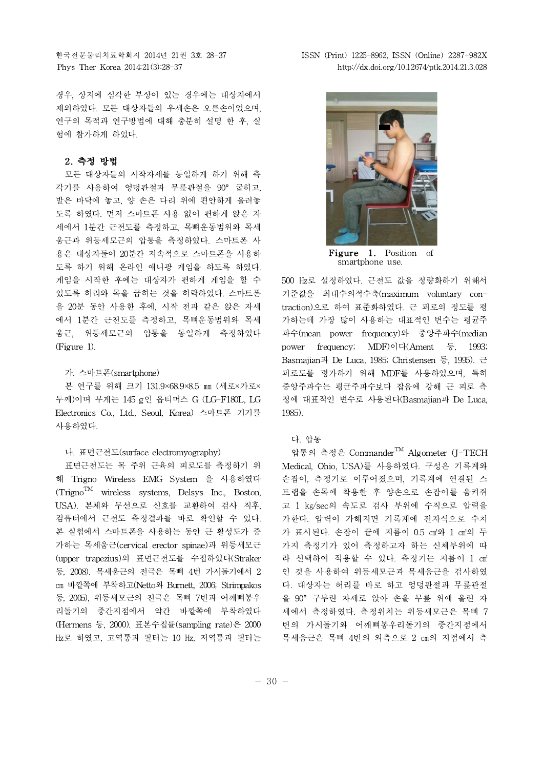경우, 상지에 심각한 부상이 있는 경우에는 대상자에서 제외하였다. 모든 대상자들의 우세손은 오른손이었으며, 연구의 목적과 연구방법에 대해 충분히 설명 한 후, 실 험에 참가하게 하였다.

### **2. 측정 방법**

모든 대상자들의 시작자세를 동일하게 하기 위해 측 각기를 사용하여 엉덩관절과 무릎관절을 90° 굽히고, 발은 바닥에 놓고, 양 손은 다리 위에 편안하게 올려놓 도록 하였다. 먼저 스마트폰 사용 없이 편하게 앉은 자 세에서 1분간 근전도를 측정하고, 목뼈운동범위와 목세 움근과 위등세모근의 압통을 측정하였다. 스마트폰 사 용은 대상자들이 20분간 지속적으로 스마트폰을 사용하 도록 하기 위해 온라인 애니팡 게임을 하도록 하였다. 게임을 시작한 후에는 대상자가 편하게 게임을 할 수 있도록 허리와 목을 굽히는 것을 허락하였다. 스마트폰 을 20분 동안 사용한 후에, 시작 전과 같은 앉은 자세 에서 1분간 근전도를 측정하고, 목뼈운동범위와 목세 움근, 위등세모근의 압통을 동일하게 측정하였다 (Figure 1).

#### 가. 스마트폰(smartphone)

본 연구를 위해 크기 131.9×68.9×8.5 ㎜ (세로×가로× 두께)이며 무게는 145 g인 옵티머스 G (LG-F180L, LG Electronics Co., Ltd., Seoul, Korea) 스마트폰 기기를 사용하였다.

#### 나. 표면근전도(surface electromyography)

표면근전도는 목 주위 근육의 피로도를 측정하기 위 해 Trigno Wireless EMG System 을 사용하였다  $(Tright<sup>TM</sup>$  wireless systems, Delsys Inc., Boston, USA). 본체와 무선으로 신호를 교환하여 검사 직후, 컴퓨터에서 근전도 측정결과를 바로 확인할 수 있다. 본 실험에서 스마트폰을 사용하는 동안 근 활성도가 증 가하는 목세움근(cervical erector spinae)과 위등세모근 (upper trapezius)의 표면근전도를 수집하였다(Straker 등, 2008). 목세움근의 전극은 목뼈 4번 가시돌기에서 2 ㎝ 바깥쪽에 부착하고(Netto와 Burnett, 2006; Strimpakos 등, 2005), 위등세모근의 전극은 목뼈 7번과 어깨뼈봉우 리돌기의 중간지점에서 약간 바깥쪽에 부착하였다 (Hermens 등, 2000). 표본수집률(sampling rate)은 2000 ㎐로 하였고, 고역통과 필터는 10 ㎐, 저역통과 필터는

한국전문물리치료학회지 2014년 21권 3호 28-37 ISSN (Print) 1225-8962, ISSN (Online) 2287-982X Phys Ther Korea 2014;21(3):28-37 http://dx.doi.org/10.12674/ptk.2014.21.3.028



**Figure 1.** Position of smartphone use.

500 ㎐로 설정하였다. 근전도 값을 정량화하기 위해서 기준값을 최대수의적수축(maximum voluntary contraction)으로 하여 표준화하였다. 근 피로의 정도를 평 가하는데 가장 많이 사용하는 대표적인 변수는 평균주 파수(mean power frequency)와 중앙주파수(median power frequency; MDF)이다(Ament 등, 1993; Basmajian과 De Luca, 1985; Christensen 등, 1995). 근 피로도를 평가하기 위해 MDF를 사용하였으며, 특히 중앙주파수는 평균주파수보다 잡음에 강해 근 피로 측 정에 대표적인 변수로 사용된다(Basmajian과 De Luca, 1985).

### 다. 압통

압통의 측정은 CommanderTM Algometer (J-TECH Medical, Ohio, USA)를 사용하였다. 구성은 기록계와 손잡이, 측정기로 이루어졌으며, 기록계에 연결된 스 트랩을 손목에 착용한 후 양손으로 손잡이를 움켜쥐 고 1 ㎏/sec의 속도로 검사 부위에 수직으로 압력을 가한다. 압력이 가해지면 기록계에 전자식으로 수치 가 표시된다. 손잡이 끝에 지름이 0.5 ㎠와 1 ㎠의 두 가지 측정기가 있어 측정하고자 하는 신체부위에 따 라 선택하여 적용할 수 있다. 측정기는 지름이 1 ㎝ 인 것을 사용하여 위등세모근과 목세움근을 검사하였 다. 대상자는 허리를 바로 하고 엉덩관절과 무릎관절 을 90° 구부린 자세로 앉아 손을 무릎 위에 올린 자 세에서 측정하였다.측정위치는 위등세모근은 목뼈 7 번의 가시돌기와 어깨뼈봉우리돌기의 중간지점에서 목세움근은 목뼈 4번의 외측으로 2 ㎝의 지점에서 측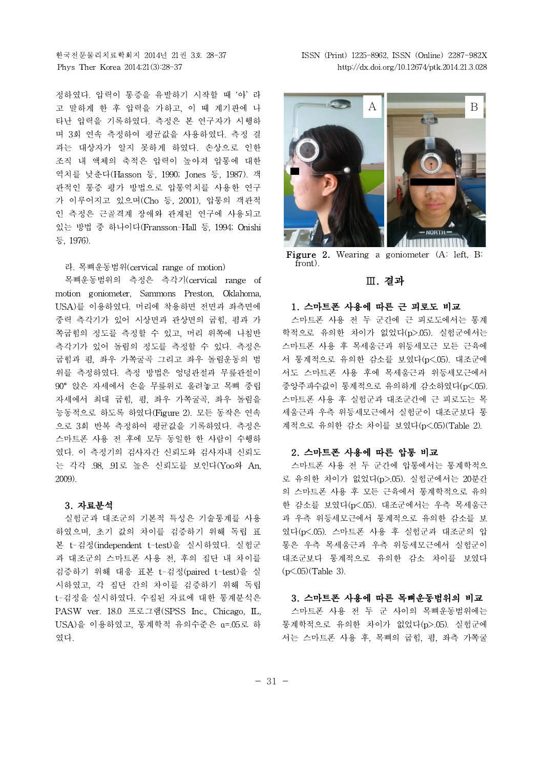정하였다. 압력이 통증을 유발하기 시작할 때 '아' 라 고 말하게 한 후 압력을 가하고, 이 때 계기판에 나 타난 압력을 기록하였다.측정은 본 연구자가 시행하 며 3회 연속 측정하여 평균값을 사용하였다.측정 결 과는 대상자가 알지 못하게 하였다. 손상으로 인한 조직 내 액체의 축적은 압력이 높아져 압통에 대한 역치를 낮춘다(Hasson 등, 1990; Jones 등, 1987). 객 관적인 통증 평가 방법으로 압통역치를 사용한 연구 가 이루어지고 있으며(Cho 등, 2001), 압통의 객관적 인 측정은 근골격계 장애와 관계된 연구에 사용되고 있는 방법 중 하나이다(Fransson-Hall 등, 1994; Onishi 등, 1976).

#### 라. 목뼈운동범위(cervical range of motion)

목뼈운동범위의 측정은 측각기(cervical range of motion goniometer, Sammons Preston, Oklahoma, USA)를 이용하였다. 머리에 착용하면 전면과 좌측면에 중력 측각기가 있어 시상면과 관상면의 굽힘, 폄과 가 쪽굽힘의 정도를 측정할 수 있고, 머리 위쪽에 나침반 측각기가 있어 돌림의 정도를 측정할 수 있다. 측정은 굽힘과 폄, 좌우 가쪽굴곡 그리고 좌우 돌림운동의 범 위를 측정하였다. 측정 방법은 엉덩관절과 무릎관절이 90° 앉은 자세에서 손을 무릎위로 올려놓고 목뼈 중립 자세에서 최대 굽힘, 폄, 좌우 가쪽굴곡, 좌우 돌림을 능동적으로 하도록 하였다(Figure 2). 모든 동작은 연속 으로 3회 반복 측정하여 평균값을 기록하였다. 측정은 스마트폰 사용 전 후에 모두 동일한 한 사람이 수행하 였다. 이 측정기의 검사자간 신뢰도와 검사자내 신뢰도 는 각각 .98, .91로 높은 신뢰도를 보인다(Yoo와 An, 2009).

### **3. 자료분석**

실험군과 대조군의 기본적 특성은 기술통계를 사용 하였으며, 초기 값의 차이를 검증하기 위해 독립 표 본 t-검정(independent t-test)을 실시하였다. 실험군 과 대조군의 스마트폰 사용 전, 후의 집단 내 차이를 검증하기 위해 대응 표본 t-검정(paired t-test)을 실 시하였고, 각 집단 간의 차이를 검증하기 위해 독립 t-검정을 실시하였다. 수집된 자료에 대한 통계분석은 PASW ver. 18.0 프로그램(SPSS Inc., Chicago, IL, USA)을 이용하였고, 통계학적 유의수준은 ɑ=.05로 하 였다.

한국전문물리치료학회지 2014년 21권 3호 28-37 ISSN (Print) 1225-8962, ISSN (Online) 2287-982X Phys Ther Korea 2014;21(3):28-37 http://dx.doi.org/10.12674/ptk.2014.21.3.028



Figure 2. Wearing a goniometer (A: left, B: front).

### **Ⅲ. 결과**

#### **1. 스마트폰 사용에 따른 근 피로도 비교**

스마트폰 사용 전 두 군간에 근 피로도에서는 통계 학적으로 유의한 차이가 없었다(p>.05). 실험군에서는 스마트폰 사용 후 목세움근과 위등세모근 모든 근육에 서 통계적으로 유의한 감소를 보였다(p<.05). 대조군에 서도 스마트폰 사용 후에 목세움근과 위등세모근에서 중앙주파수값이 통계적으로 유의하게 감소하였다(p<.05). 스마트폰 사용 후 실험군과 대조군간에 근 피로도는 목 세움근과 우측 위등세모근에서 실험군이 대조군보다 통 계적으로 유의한 감소 차이를 보였다(p<.05)(Table 2).

#### **2. 스마트폰 사용에 따른 압통 비교**

스마트폰 사용 전 두 군간에 압통에서는 통계학적으 로 유의한 차이가 없었다(p>.05). 실험군에서는 20분간 의 스마트폰 사용 후 모든 근육에서 통계학적으로 유의 한 감소를 보였다(p<.05). 대조군에서는 우측 목세움근 과 우측 위등세모근에서 통계적으로 유의한 감소를 보 였다(p<.05). 스마트폰 사용 후 실험군과 대조군의 압 통은 우측 목세움근과 우측 위등세모근에서 실험군이 대조군보다 통계적으로 유의한 감소 차이를 보였다  $(p<.05)$ (Table 3).

### **3. 스마트폰 사용에 따른 목뼈운동범위의 비교**

스마트폰 사용 전 두 군 사이의 목뼈운동범위에는 통계학적으로 유의한 차이가 없었다(p>.05). 실험군에 서는 스마트폰 사용 후, 목뼈의 굽힘, 폄, 좌측 가쪽굴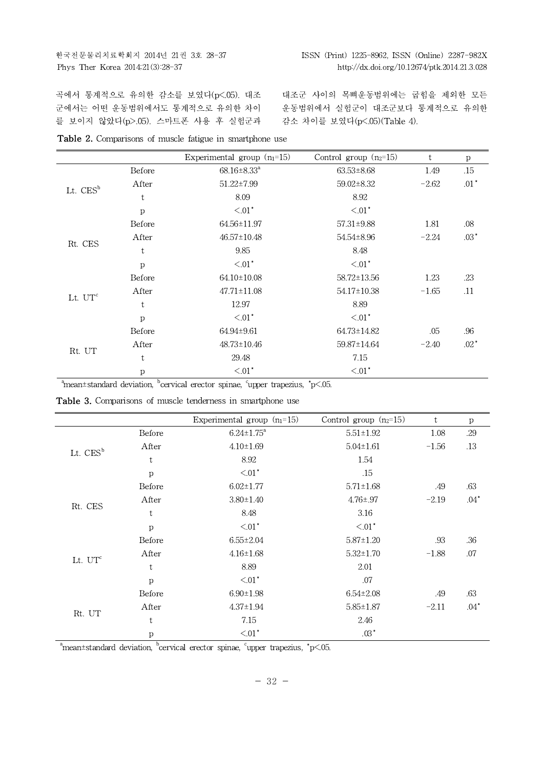곡에서 통계적으로 유의한 감소를 보였다(p<.05). 대조 군에서는 어떤 운동범위에서도 통계적으로 유의한 차이 를 보이지 않았다(p>.05). 스마트폰 사용 후 실험군과

대조군 사이의 목뼈운동범위에는 굽힘을 제외한 모든 운동범위에서 실험군이 대조군보다 통계적으로 유의한 감소 차이를 보였다(p<.05)(Table 4).

|  | <b>Table 2.</b> Comparisons of muscle fatigue in smartphone use |  |  |  |
|--|-----------------------------------------------------------------|--|--|--|
|  |                                                                 |  |  |  |

|                      |              | Experimental group $(n_1=15)$ | Control group $(n_2=15)$ | t       | $\mathbf{p}$ |
|----------------------|--------------|-------------------------------|--------------------------|---------|--------------|
|                      | Before       | $68.16 \pm 8.33$ <sup>a</sup> | $63.53 \pm 8.68$         | 1.49    | .15          |
| Lt. CES <sup>b</sup> | After        | $51.22 \pm 7.99$              | 59.02±8.32               | $-2.62$ | $.01*$       |
|                      | t            | 8.09                          | 8.92                     |         |              |
|                      | $\mathbf{p}$ | $< 01$ <sup>*</sup>           | $< 01$ <sup>*</sup>      |         |              |
|                      | Before       | 64.56±11.97                   | $57.31 \pm 9.88$         | 1.81    | .08          |
|                      | After        | $46.57 \pm 10.48$             | 54.54±8.96               | $-2.24$ | $.03*$       |
| Rt. CES              | t            | 9.85                          | 8.48                     |         |              |
|                      | $\rm p$      | $\leq 01$ <sup>*</sup>        | $\leq 01$ <sup>*</sup>   |         |              |
|                      | Before       | 64.10±10.08                   | 58.72±13.56              | 1.23    | .23          |
|                      | After        | $47.71 \pm 11.08$             | $54.17 \pm 10.38$        | $-1.65$ | .11          |
| Lt. $UT^c$           | t            | 12.97                         | 8.89                     |         |              |
|                      | p            | $\leq 01$ <sup>*</sup>        | $\leq 01$ <sup>*</sup>   |         |              |
|                      | Before       | 64.94±9.61                    | 64.73±14.82              | .05     | .96          |
|                      | After        | 48.73±10.46                   | 59.87±14.64              | $-2.40$ | $.02^*$      |
| Rt. UT               | t            | 29.48                         | 7.15                     |         |              |
|                      | p            | $< 01$ <sup>*</sup>           | $\leq 01$ <sup>*</sup>   |         |              |

 $a<sup>b</sup>$ mean±standard deviation,  $b<sup>b</sup>$ cervical erector spinae,  $c<sup>c</sup>$ upper trapezius,  $\gamma$  = 05.

|  | Table 3. Comparisons of muscle tenderness in smartphone use |  |  |  |  |  |
|--|-------------------------------------------------------------|--|--|--|--|--|
|--|-------------------------------------------------------------|--|--|--|--|--|

|                      |              | Experimental group $(n_1=15)$ | Control group $(n_2=15)$ | t       | p      |
|----------------------|--------------|-------------------------------|--------------------------|---------|--------|
|                      | Before       | $6.24 \pm 1.75^a$             | $5.51 \pm 1.92$          | 1.08    | .29    |
| Lt. CES <sup>b</sup> | After        | $4.10 \pm 1.69$               | $5.04 \pm 1.61$          | $-1.56$ | .13    |
|                      | t            | 8.92                          | 1.54                     |         |        |
|                      | $\mathbf{p}$ | $< 01$ <sup>*</sup>           | .15                      |         |        |
|                      | Before       | $6.02 \pm 1.77$               | $5.71 \pm 1.68$          | .49     | .63    |
|                      | After        | $3.80 \pm 1.40$               | $4.76 \pm .97$           | $-2.19$ | $.04*$ |
| Rt. CES              | t            | 8.48                          | 3.16                     |         |        |
|                      | p            | $< 01$ <sup>*</sup>           | $< 01$ <sup>*</sup>      |         |        |
|                      | Before       | $6.55 \pm 2.04$               | $5.87 \pm 1.20$          | .93     | .36    |
|                      | After        | $4.16 \pm 1.68$               | $5.32 \pm 1.70$          | $-1.88$ | .07    |
| Lt. $UT^c$           | t            | 8.89                          | 2.01                     |         |        |
|                      | $\mathbf{p}$ | $< 01$ <sup>*</sup>           | .07                      |         |        |
|                      | Before       | $6.90 \pm 1.98$               | $6.54 \pm 2.08$          | .49     | .63    |
|                      | After        | $4.37 \pm 1.94$               | $5.85 \pm 1.87$          | $-2.11$ | $.04*$ |
| Rt. UT               | t            | 7.15                          | 2.46                     |         |        |
|                      | $\mathbf{p}$ | $< 01$ <sup>*</sup>           | $.03*$                   |         |        |

 $\alpha$ <sup>a</sup>mean±standard deviation, <sup>b</sup>cervical erector spinae, <sup>c</sup>upper trapezius,  $\gamma$  = 05.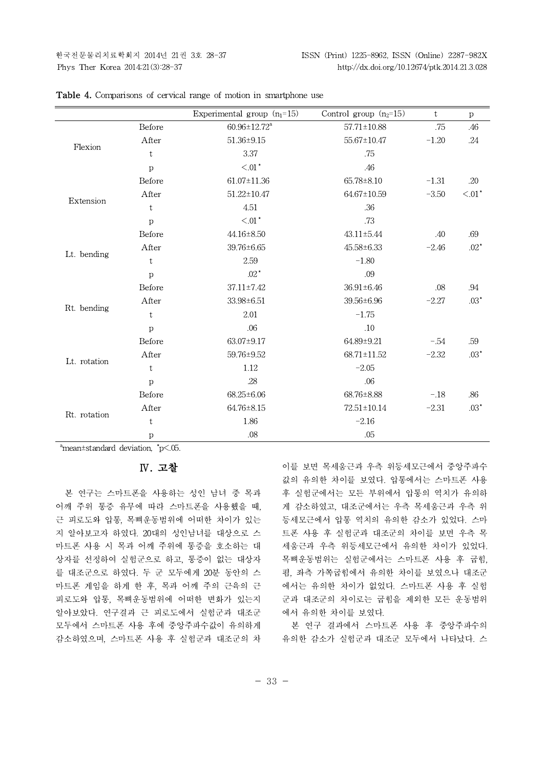|                                                                                                                                                                                                |                             | Experimental group $(n_1=15)$ | Control group $(n_2=15)$ | t       | $\mathbf{p}$      |
|------------------------------------------------------------------------------------------------------------------------------------------------------------------------------------------------|-----------------------------|-------------------------------|--------------------------|---------|-------------------|
|                                                                                                                                                                                                | Before                      | $60.96 \pm 12.72^a$           | $57.71 \pm 10.88$        | .75     | .46               |
|                                                                                                                                                                                                | After                       | $51.36 \pm 9.15$              | 55.67±10.47              | $-1.20$ | .24               |
|                                                                                                                                                                                                | t                           | 3.37                          | .75                      |         |                   |
| Flexion<br>Extension                                                                                                                                                                           | $\mathbf{p}$                | $< 01$ $^{\star}$             | .46                      |         |                   |
|                                                                                                                                                                                                | Before                      | 61.07±11.36                   | 65.78±8.10               | $-1.31$ | .20               |
| After<br>t<br>$\mathbf{p}$<br>Before<br>After<br>Lt. bending<br>$\mathbf t$<br>$\mathbf{p}$<br>Before<br>After<br>Rt. bending<br>t<br>p<br>Before<br>After<br>Lt. rotation<br>t<br>p<br>Before |                             | $51.22 \pm 10.47$             | 64.67±10.59              | $-3.50$ | $< 01$ $^{\star}$ |
|                                                                                                                                                                                                |                             | 4.51                          | .36                      |         |                   |
|                                                                                                                                                                                                | ${<}.01\ensuremath{^\star}$ | .73                           |                          |         |                   |
|                                                                                                                                                                                                |                             | 44.16±8.50                    | 43.11±5.44               | .40     | .69               |
|                                                                                                                                                                                                |                             | 39.76±6.65                    | 45.58±6.33               | $-2.46$ | $.02*$            |
|                                                                                                                                                                                                |                             | 2.59                          | $-1.80$                  |         |                   |
|                                                                                                                                                                                                |                             | $.02^*$                       | .09                      |         |                   |
|                                                                                                                                                                                                |                             | 37.11±7.42                    | 36.91±6.46               | .08     | .94               |
|                                                                                                                                                                                                |                             | 33.98±6.51                    | 39.56±6.96               | $-2.27$ | $.03*$            |
|                                                                                                                                                                                                |                             | 2.01                          | $-1.75$                  |         |                   |
|                                                                                                                                                                                                |                             | .06                           | .10                      |         |                   |
|                                                                                                                                                                                                |                             | 63.07±9.17                    | 64.89±9.21               | $-.54$  | .59               |
|                                                                                                                                                                                                |                             | 59.76±9.52                    | 68.71±11.52              | $-2.32$ | $.03*$            |
|                                                                                                                                                                                                |                             | 1.12                          | $-2.05$                  |         |                   |
|                                                                                                                                                                                                |                             | .28                           | .06                      |         |                   |
|                                                                                                                                                                                                |                             | 68.25±6.06                    | 68.76±8.88               | $-.18$  | .86               |
|                                                                                                                                                                                                | After                       | 64.76±8.15                    | $72.51 \pm 10.14$        | $-2.31$ | $.03*$            |
|                                                                                                                                                                                                | $\mathbf t$                 | 1.86                          | $-2.16$                  |         |                   |
| Rt. rotation                                                                                                                                                                                   | $\mathbf{p}$                | .08                           | .05                      |         |                   |

| <b>Table 4.</b> Comparisons of cervical range of motion in smartphone use |  |  |  |  |  |  |
|---------------------------------------------------------------------------|--|--|--|--|--|--|
|---------------------------------------------------------------------------|--|--|--|--|--|--|

 $n_{\text{mean} \pm \text{standard deviation}}$ ,  $n_{\text{p}} < .05$ .

### **Ⅳ. 고찰**

본 연구는 스마트폰을 사용하는 성인 남녀 중 목과 어깨 주위 통증 유무에 따라 스마트폰을 사용했을 때, 근 피로도와 압통, 목뼈운동범위에 어떠한 차이가 있는 지 알아보고자 하였다. 20대의 성인남녀를 대상으로 스 마트폰 사용 시 목과 어깨 주위에 통증을 호소하는 대 상자를 선정하여 실험군으로 하고, 통증이 없는 대상자 를 대조군으로 하였다. 두 군 모두에게 20분 동안의 스 마트폰 게임을 하게 한 후, 목과 어깨 주의 근육의 근 피로도와 압통, 목뼈운동범위에 어떠한 변화가 있는지 알아보았다. 연구결과 근 피로도에서 실험군과 대조군 모두에서 스마트폰 사용 후에 중앙주파수값이 유의하게 감소하였으며, 스마트폰 사용 후 실험군과 대조군의 차 이를 보면 목세움근과 우측 위등세모근에서 중앙주파수 값의 유의한 차이를 보였다. 압통에서는 스마트폰 사용 후 실험군에서는 모든 부위에서 압통의 역치가 유의하 게 감소하였고, 대조군에서는 우측 목세움근과 우측 위 등세모근에서 압통 역치의 유의한 감소가 있었다. 스마 트폰 사용 후 실험군과 대조군의 차이를 보면 우측 목 세움근과 우측 위등세모근에서 유의한 차이가 있었다. 목뼈운동범위는 실험군에서는 스마트폰 사용 후 굽힘, 폄, 좌측 가쪽굽힘에서 유의한 차이를 보였으나 대조군 에서는 유의한 차이가 없었다. 스마트폰 사용 후 실험 군과 대조군의 차이로는 굽힘을 제외한 모든 운동범위 에서 유의한 차이를 보였다.

본 연구 결과에서 스마트폰 사용 후 중앙주파수의 유의한 감소가 실험군과 대조군 모두에서 나타났다. 스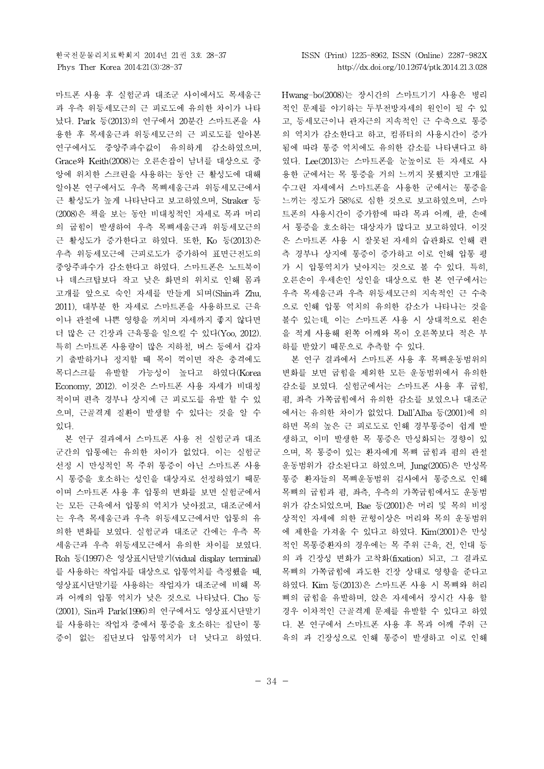마트폰 사용 후 실험군과 대조군 사이에서도 목세움근 과 우측 위등세모근의 근 피로도에 유의한 차이가 나타 났다. Park 등(2013)의 연구에서 20분간 스마트폰을 사 용한 후 목세움근과 위등세모근의 근 피로도를 알아본 연구에서도 중앙주파수값이 유의하게 감소하였으며, Grace와 Keith(2008)는 오른손잡이 남녀를 대상으로 중 앙에 위치한 스크린을 사용하는 동안 근 활성도에 대해 알아본 연구에서도 우측 목뼈세움근과 위등세모근에서 근 활성도가 높게 나타난다고 보고하였으며, Straker 등 (2008)은 책을 보는 동안 비대칭적인 자세로 목과 머리 의 굽힘이 발생하여 우측 목뼈세움근과 위등세모근의 근 활성도가 증가한다고 하였다. 또한, Ko 등(2013)은 우측 위등세모근에 근피로도가 증가하여 표면근전도의 중앙주파수가 감소한다고 하였다. 스마트폰은 노트북이 나 데스크탑보다 작고 낮은 화면의 위치로 인해 몸과 고개를 앞으로 숙인 자세를 만들게 되며(Shin과 Zhu, 2011), 대부분 한 자세로 스마트폰을 사용하므로 근육 이나 관절에 나쁜 영향을 끼치며 자세까지 좋지 않다면 더 많은 근 긴장과 근육통을 일으킬 수 있다(Yoo, 2012). 특히 스마트폰 사용량이 많은 지하철,버스 등에서 갑자 기 출발하거나 정지할 때 목이 꺽이면 작은 충격에도 목디스크를 유발할 가능성이 높다고 하였다(Korea Economy, 2012). 이것은 스마트폰 사용 자세가 비대칭 적이며 편측 경부나 상지에 근 피로도를 유발 할 수 있 으며, 근골격계 질환이 발생할 수 있다는 것을 알 수 있다.

본 연구 결과에서 스마트폰 사용 전 실험군과 대조 군간의 압통에는 유의한 차이가 없었다. 이는 실험군 선정 시 만성적인 목 주위 통증이 아닌 스마트폰 사용 시 통증을 호소하는 성인을 대상자로 선정하였기 때문 이며 스마트폰 사용 후 압통의 변화를 보면 실험군에서 는 모든 근육에서 압통의 역치가 낮아졌고, 대조군에서 는 우측 목세움근과 우측 위등세모근에서만 압통의 유 의한 변화를 보였다. 실험군과 대조군 간에는 우측 목 세움근과 우측 위등세모근에서 유의한 차이를 보였다. Roh 등(1997)은 영상표시단말기(vidual display terminal) 를 사용하는 작업자를 대상으로 압통역치를 측정했을 때, 영상표시단말기를 사용하는 작업자가 대조군에 비해 목 과 어깨의 압통 역치가 낮은 것으로 나타났다. Cho 등 (2001), Sin과 Park(1996)의 연구에서도 영상표시단말기 를 사용하는 작업자 중에서 통증을 호소하는 집단이 통 증이 없는 집단보다 압통역치가 더 낮다고 하였다. Hwang-bo(2008)는 장시간의 스마트기기 사용은 병리 적인 문제를 야기하는 두부전방자세의 원인이 될 수 있 고, 등세모근이나 관자근의 지속적인 근 수축으로 통증 의 역치가 감소한다고 하고, 컴퓨터의 사용시간이 증가 됨에 따라 통증 역치에도 유의한 감소를 나타낸다고 하 였다. Lee(2013)는 스마트폰을 눈높이로 든 자세로 사 용한 군에서는 목 통증을 거의 느끼지 못했지만 고개를 수그린 자세에서 스마트폰을 사용한 군에서는 통증을 느끼는 정도가 58%로 심한 것으로 보고하였으며, 스마 트폰의 사용시간이 증가함에 따라 목과 어깨, 팔, 손에 서 통증을 호소하는 대상자가 많다고 보고하였다. 이것 은 스마트폰 사용 시 잘못된 자세의 습관화로 인해 편 측 경부나 상지에 통증이 증가하고 이로 인해 압통 평 가 시 압통역치가 낮아지는 것으로 볼 수 있다. 특히, 오른손이 우세손인 성인을 대상으로 한 본 연구에서는 우측 목세움근과 우측 위등세모근의 지속적인 근 수축 으로 인해 압통 역치의 유의한 감소가 나타나는 것을 볼수 있는데, 이는 스마트폰 사용 시 상대적으로 왼손 을 적게 사용해 왼쪽 어깨와 목이 오른쪽보다 적은 부 하를 받았기 때문으로 추측할 수 있다.

본 연구 결과에서 스마트폰 사용 후 목뼈운동범위의 변화를 보면 굽힘을 제외한 모든 운동범위에서 유의한 감소를 보였다. 실험군에서는 스마트폰 사용 후 굽힘, 폄, 좌측 가쪽굽힘에서 유의한 감소를 보였으나 대조군 에서는 유의한 차이가 없었다. Dall'Alba 등(2001)에 의 하면 목의 높은 근 피로도로 인해 경부통증이 쉽게 발 생하고, 이미 발생한 목 통증은 만성화되는 경향이 있 으며, 목 통증이 있는 환자에게 목뼈 굽힘과 폄의 관절 운동범위가 감소된다고 하였으며, Jung(2005)은 만성목 통증 환자들의 목뼈운동범위 검사에서 통증으로 인해 목뼈의 굽힘과 폄, 좌측, 우측의 가쪽굽힘에서도 운동범 위가 감소되었으며, Bae 등(2001)은 머리 및 목의 비정 상적인 자세에 의한 균형이상은 머리와 목의 운동범위 에 제한을 가져올 수 있다고 하였다. Kim(2001)은 만성 적인 목통증환자의 경우에는 목 주위 근육, 건, 인대 등 의 과 긴장성 변화가 고착화(fixation) 되고, 그 결과로 목뼈의 가쪽굽힘에 과도한 긴장 상태로 영향을 준다고 하였다. Kim 등(2013)은 스마트폰 사용 시 목뼈와 허리 뼈의 굽힘을 유발하며, 앉은 자세에서 장시간 사용 할 경우 이차적인 근골격계 문제를 유발할 수 있다고 하였 다. 본 연구에서 스마트폰 사용 후 목과 어깨 주위 근 육의 과 긴장성으로 인해 통증이 발생하고 이로 인해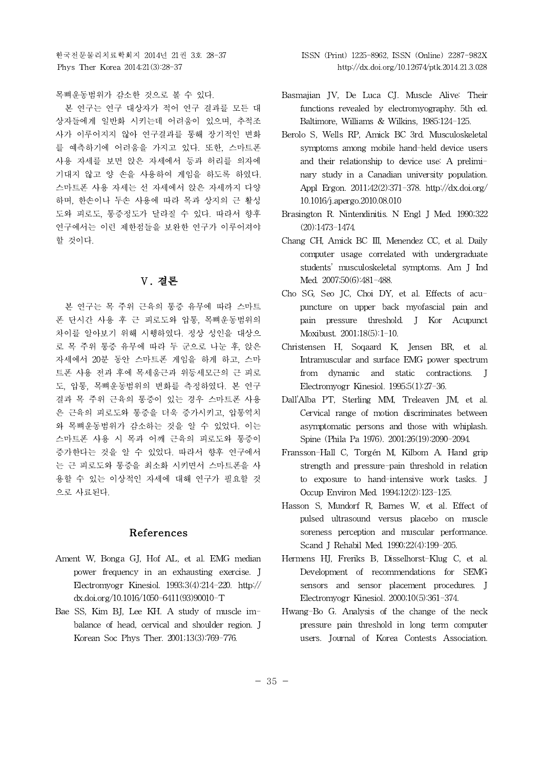목뼈운동범위가 감소한 것으로 볼 수 있다.

본 연구는 연구 대상자가 적어 연구 결과를 모든 대 상자들에게 일반화 시키는데 어려움이 있으며, 추적조 사가 이루어지지 않아 연구결과를 통해 장기적인 변화 를 예측하기에 어려움을 가지고 있다. 또한, 스마트폰 사용 자세를 보면 앉은 자세에서 등과 허리를 의자에 기대지 않고 양 손을 사용하여 게임을 하도록 하였다. 스마트폰 사용 자세는 선 자세에서 앉은 자세까지 다양 하며, 한손이나 두손 사용에 따라 목과 상지의 근 활성 도와 피로도, 통증정도가 달라질 수 있다. 따라서 향후 연구에서는 이런 제한점들을 보완한 연구가 이루어져야 할 것이다.

# **Ⅴ. 결론**

본 연구는 목 주위 근육의 통증 유무에 따라 스마트 폰 단시간 사용 후 근 피로도와 압통, 목뼈운동범위의 차이를 알아보기 위해 시행하였다. 정상 성인을 대상으 로 목 주위 통증 유무에 따라 두 군으로 나눈 후, 앉은 자세에서 20분 동안 스마트폰 게임을 하게 하고, 스마 트폰 사용 전과 후에 목세움근과 위등세모근의 근 피로 도, 압통, 목뼈운동범위의 변화를 측정하였다. 본 연구 결과 목 주위 근육의 통증이 있는 경우 스마트폰 사용 은 근육의 피로도와 통증을 더욱 증가시키고, 압통역치 와 목뼈운동범위가 감소하는 것을 알 수 있었다. 이는 스마트폰 사용 시 목과 어깨 근육의 피로도와 통증이 증가한다는 것을 알 수 있었다. 따라서 향후 연구에서 는 근 피로도와 통증을 최소화 시키면서 스마트폰을 사 용할 수 있는 이상적인 자세에 대해 연구가 필요할 것 으로 사료된다.

## **References**

- Ament W, Bonga GJ, Hof AL, et al. EMG median power frequency in an exhausting exercise. J Electromyogr Kinesiol. 1993;3(4):214-220. http:// dx.doi.org/10.1016/1050-6411(93)90010-T
- Bae SS, Kim BJ, Lee KH. A study of muscle imbalance of head, cervical and shoulder region. J Korean Soc Phys Ther. 2001;13(3):769-776.
- Basmajian JV, De Luca CJ. Muscle Alive: Their functions revealed by electromyography. 5th ed. Baltimore, Williams & Wilkins, 1985:124-125.
- Berolo S, Wells RP, Amick BC 3rd. Musculoskeletal symptoms among mobile hand-held device users and their relationship to device use: A preliminary study in a Canadian university population. Appl Ergon. 2011;42(2):371-378. http://dx.doi.org/ 10.1016/j.apergo.2010.08.010
- Brasington R. Nintendinitis. N Engl J Med. 1990;322 (20):1473-1474.
- Chang CH, Amick BC Ⅲ, Menendez CC, et al. Daily computer usage correlated with undergraduate students' musculoskeletal symptoms. Am J Ind Med. 2007;50(6):481-488.
- Cho SG, Seo JC, Choi DY, et al. Effects of acupuncture on upper back myofascial pain and pain pressure threshold. J Kor Acupunct Moxibust. 2001;18(5):1-10.
- Christensen H, Soqaard K, Jensen BR, et al. Intramuscular and surface EMG power spectrum from dynamic and static contractions. J Electromyogr Kinesiol. 1995;5(1):27-36.
- Dall'Alba PT, Sterling MM, Treleaven JM, et al. Cervical range of motion discriminates between asymptomatic persons and those with whiplash. Spine (Phila Pa 1976). 2001;26(19):2090-2094.
- Fransson-Hall C, Torgén M, Kilbom A. Hand grip strength and pressure-pain threshold in relation to exposure to hand-intensive work tasks. J Occup Environ Med. 1994;12(2):123-125.
- Hasson S, Mundorf R, Barnes W, et al. Effect of pulsed ultrasound versus placebo on muscle soreness perception and muscular performance. Scand J Rehabil Med. 1990;22(4):199-205.
- Hermens HJ, Freriks B, Disselhorst-Klug C, et al. Development of recommendations for SEMG sensors and sensor placement procedures. J Electromyogr Kinesiol. 2000;10(5):361-374.
- Hwang-Bo G. Analysis of the change of the neck pressure pain threshold in long term computer users. Journal of Korea Contests Association.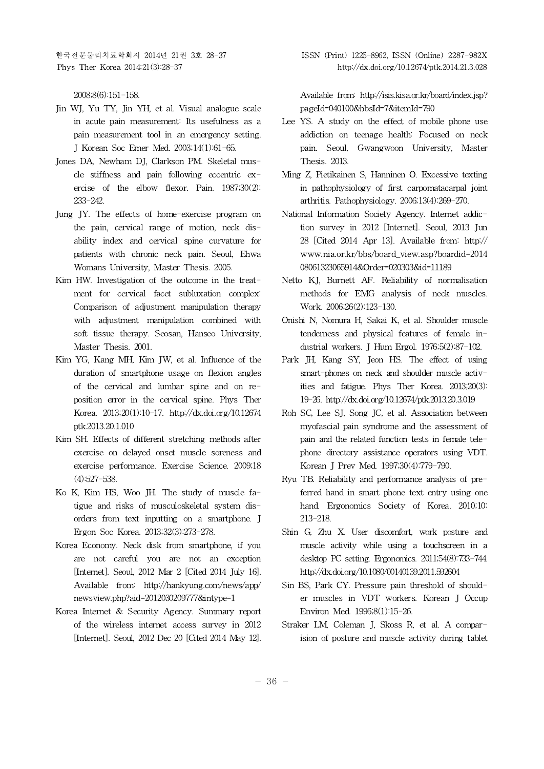한국전문물리치료학회지 2014년 21권 3호 28-37 ISSN (Print) 1225-8962, ISSN (Online) 2287-982X

2008;8(6):151-158.

- Jin WJ, Yu TY, Jin YH, et al. Visual analogue scale in acute pain measurement: Its usefulness as a pain measurement tool in an emergency setting. J Korean Soc Emer Med. 2003;14(1):61-65.
- Jones DA, Newham DJ, Clarkson PM. Skeletal muscle stiffness and pain following eccentric exercise of the elbow flexor. Pain. 1987;30(2): 233-242.
- Jung JY. The effects of home-exercise program on the pain, cervical range of motion, neck disability index and cervical spine curvature for patients with chronic neck pain. Seoul, Ehwa Womans University, Master Thesis. 2005.
- Kim HW. Investigation of the outcome in the treatment for cervical facet subluxation complex: Comparison of adjustment manipulation therapy with adjustment manipulation combined with soft tissue therapy. Seosan, Hanseo University, Master Thesis. 2001.
- Kim YG, Kang MH, Kim JW, et al. Influence of the duration of smartphone usage on flexion angles of the cervical and lumbar spine and on reposition error in the cervical spine. Phys Ther Korea. 2013;20(1):10-17. http://dx.doi.org/10.12674 ptk.2013.20.1.010
- Kim SH. Effects of different stretching methods after exercise on delayed onset muscle soreness and exercise performance. Exercise Science. 2009;18 (4):527-538.
- Ko K, Kim HS, Woo JH. The study of muscle fatigue and risks of musculoskeletal system disorders from text inputting on a smartphone. J Ergon Soc Korea. 2013;32(3):273-278.
- Korea Economy. Neck disk from smartphone, if you are not careful you are not an exception [Internet]. Seoul, 2012 Mar 2 [Cited 2014 July 16]. Available from: http://hankyung.com/news/app/ newsview.php?aid=2012030209777&intype=1
- Korea Internet & Security Agency. Summary report of the wireless internet access survey in 2012 [Internet]. Seoul, 2012 Dec 20 [Cited 2014 May 12].

Available from: http://isis.kisa.or.kr/board/index.jsp? pageId=040100&bbsId=7&itemId=790

- Lee YS. A study on the effect of mobile phone use addiction on teenage health: Focused on neck pain. Seoul, Gwangwoon University, Master Thesis. 2013.
- Ming Z, Pietikainen S, Hanninen O. Excessive texting in pathophysiology of first carpomatacarpal joint arthritis. Pathophysiology. 2006;13(4):269-270.
- National Information Society Agency. Internet addiction survey in 2012 [Internet]. Seoul, 2013 Jun 28 [Cited 2014 Apr 13]. Available from: http:// www.nia.or.kr/bbs/board\_view.asp?boardid=2014 08061323065914&Order=020303&id=11189
- Netto KJ, Burnett AF. Reliability of normalisation methods for EMG analysis of neck muscles. Work. 2006;26(2):123-130.
- Onishi N, Nomura H, Sakai K, et al. Shoulder muscle tenderness and physical features of female industrial workers. J Hum Ergol. 1976;5(2):87-102.
- Park JH, Kang SY, Jeon HS. The effect of using smart-phones on neck and shoulder muscle activities and fatigue. Phys Ther Korea. 2013;20(3): 19-26. http://dx.doi.org/10.12674/ptk.2013.20.3.019
- Roh SC, Lee SJ, Song JC, et al. Association between myofascial pain syndrome and the assessment of pain and the related function tests in female telephone directory assistance operators using VDT. Korean J Prev Med. 1997;30(4):779-790.
- Ryu TB. Reliability and performance analysis of preferred hand in smart phone text entry using one hand. Ergonomics Society of Korea. 2010;10: 213-218.
- Shin G, Zhu X. User discomfort, work posture and muscle activity while using a touchscreen in a desktop PC setting. Ergonomics. 2011;54(8):733-744. http://dx.doi.org/10.1080/00140139.2011.592604
- Sin BS, Park CY. Pressure pain threshold of shoulder muscles in VDT workers. Korean J Occup Environ Med. 1996;8(1):15-26.
- Straker LM, Coleman J, Skoss R, et al. A comparision of posture and muscle activity during tablet